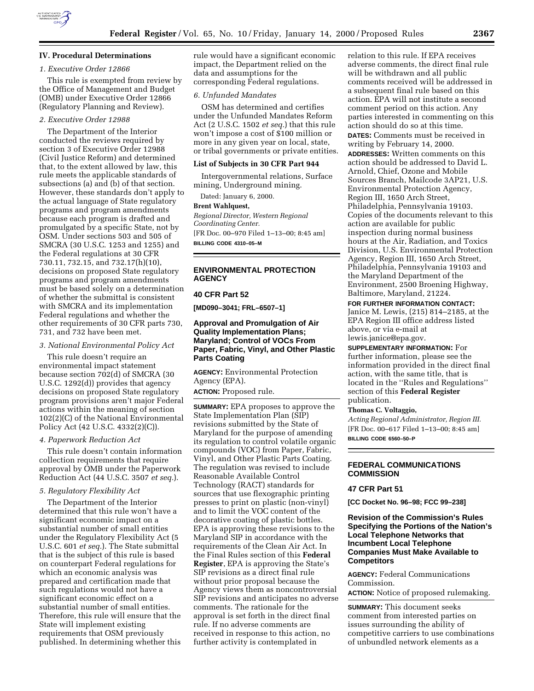

## **IV. Procedural Determinations**

#### *1. Executive Order 12866*

This rule is exempted from review by the Office of Management and Budget (OMB) under Executive Order 12866 (Regulatory Planning and Review).

## *2. Executive Order 12988*

The Department of the Interior conducted the reviews required by section 3 of Executive Order 12988 (Civil Justice Reform) and determined that, to the extent allowed by law, this rule meets the applicable standards of subsections (a) and (b) of that section. However, these standards don't apply to the actual language of State regulatory programs and program amendments because each program is drafted and promulgated by a specific State, not by OSM. Under sections 503 and 505 of SMCRA (30 U.S.C. 1253 and 1255) and the Federal regulations at 30 CFR 730.11, 732.15, and 732.17(h)(10), decisions on proposed State regulatory programs and program amendments must be based solely on a determination of whether the submittal is consistent with SMCRA and its implementation Federal regulations and whether the other requirements of 30 CFR parts 730, 731, and 732 have been met.

# *3. National Environmental Policy Act*

This rule doesn't require an environmental impact statement because section 702(d) of SMCRA (30 U.S.C. 1292(d)) provides that agency decisions on proposed State regulatory program provisions aren't major Federal actions within the meaning of section 102(2)(C) of the National Environmental Policy Act (42 U.S.C. 4332(2)(C)).

### *4. Paperwork Reduction Act*

This rule doesn't contain information collection requirements that require approval by OMB under the Paperwork Reduction Act (44 U.S.C. 3507 *et seq.*).

#### *5. Regulatory Flexibility Act*

The Department of the Interior determined that this rule won't have a significant economic impact on a substantial number of small entities under the Regulatory Flexibility Act (5 U.S.C. 601 *et seq.*). The State submittal that is the subject of this rule is based on counterpart Federal regulations for which an economic analysis was prepared and certification made that such regulations would not have a significant economic effect on a substantial number of small entities. Therefore, this rule will ensure that the State will implement existing requirements that OSM previously published. In determining whether this

rule would have a significant economic impact, the Department relied on the data and assumptions for the corresponding Federal regulations.

#### *6. Unfunded Mandates*

OSM has determined and certifies under the Unfunded Mandates Reform Act (2 U.S.C. 1502 *et seq.*) that this rule won't impose a cost of \$100 million or more in any given year on local, state, or tribal governments or private entities.

### **List of Subjects in 30 CFR Part 944**

Intergovernmental relations, Surface mining, Underground mining.

Dated: January 6, 2000.

#### **Brent Wahlquest,**

*Regional Director, Western Regional Coordinating Center.* [FR Doc. 00–970 Filed 1–13–00; 8:45 am] **BILLING CODE 4310–05–M**

# **ENVIRONMENTAL PROTECTION AGENCY**

#### **40 CFR Part 52**

**[MD090–3041; FRL–6507–1]**

# **Approval and Promulgation of Air Quality Implementation Plans; Maryland; Control of VOCs From Paper, Fabric, Vinyl, and Other Plastic Parts Coating**

**AGENCY:** Environmental Protection Agency (EPA).

**ACTION:** Proposed rule.

**SUMMARY:** EPA proposes to approve the State Implementation Plan (SIP) revisions submitted by the State of Maryland for the purpose of amending its regulation to control volatile organic compounds (VOC) from Paper, Fabric, Vinyl, and Other Plastic Parts Coating. The regulation was revised to include Reasonable Available Control Technology (RACT) standards for sources that use flexographic printing presses to print on plastic (non-vinyl) and to limit the VOC content of the decorative coating of plastic bottles. EPA is approving these revisions to the Maryland SIP in accordance with the requirements of the Clean Air Act. In the Final Rules section of this **Federal Register**, EPA is approving the State's SIP revisions as a direct final rule without prior proposal because the Agency views them as noncontroversial SIP revisions and anticipates no adverse comments. The rationale for the approval is set forth in the direct final rule. If no adverse comments are received in response to this action, no further activity is contemplated in

relation to this rule. If EPA receives adverse comments, the direct final rule will be withdrawn and all public comments received will be addressed in a subsequent final rule based on this action. EPA will not institute a second comment period on this action. Any parties interested in commenting on this action should do so at this time.

**DATES:** Comments must be received in writing by February 14, 2000.

**ADDRESSES:** Written comments on this action should be addressed to David L. Arnold, Chief, Ozone and Mobile Sources Branch, Mailcode 3AP21, U.S. Environmental Protection Agency, Region III, 1650 Arch Street, Philadelphia, Pennsylvania 19103. Copies of the documents relevant to this action are available for public inspection during normal business hours at the Air, Radiation, and Toxics Division, U.S. Environmental Protection Agency, Region III, 1650 Arch Street, Philadelphia, Pennsylvania 19103 and the Maryland Department of the Environment, 2500 Broening Highway, Baltimore, Maryland, 21224. **FOR FURTHER INFORMATION CONTACT:**

Janice M. Lewis, (215) 814–2185, at the EPA Region III office address listed above, or via e-mail at lewis.janice@epa.gov.

**SUPPLEMENTARY INFORMATION:** For further information, please see the information provided in the direct final action, with the same title, that is located in the ''Rules and Regulations'' section of this **Federal Register** publication.

#### **Thomas C. Voltaggio,**

*Acting Regional Administrator, Region III.* [FR Doc. 00–617 Filed 1–13–00; 8:45 am] **BILLING CODE 6560–50–P**

# **FEDERAL COMMUNICATIONS COMMISSION**

#### **47 CFR Part 51**

**[CC Docket No. 96–98; FCC 99–238]**

# **Revision of the Commission's Rules Specifying the Portions of the Nation's Local Telephone Networks that Incumbent Local Telephone Companies Must Make Available to Competitors**

**AGENCY:** Federal Communications Commission.

**ACTION:** Notice of proposed rulemaking.

**SUMMARY:** This document seeks comment from interested parties on issues surrounding the ability of competitive carriers to use combinations of unbundled network elements as a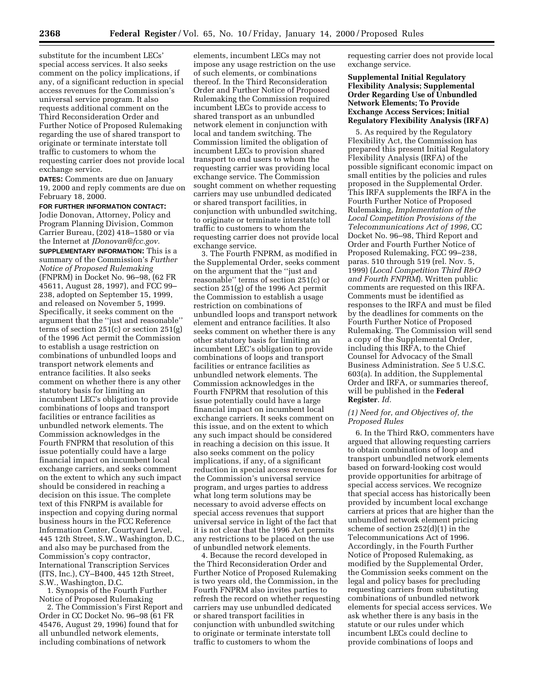substitute for the incumbent LECs' special access services. It also seeks comment on the policy implications, if any, of a significant reduction in special access revenues for the Commission's universal service program. It also requests additional comment on the Third Reconsideration Order and Further Notice of Proposed Rulemaking regarding the use of shared transport to originate or terminate interstate toll traffic to customers to whom the requesting carrier does not provide local exchange service.

**DATES:** Comments are due on January 19, 2000 and reply comments are due on February 18, 2000.

## **FOR FURTHER INFORMATION CONTACT:**

Jodie Donovan, Attorney, Policy and Program Planning Division, Common Carrier Bureau, (202) 418–1580 or via the Internet at *JDonovan@fcc.gov.*

**SUPPLEMENTARY INFORMATION:** This is a summary of the Commission's *Further Notice of Proposed Rulemaking* (FNPRM) in Docket No. 96–98, (62 FR 45611, August 28, 1997), and FCC 99– 238, adopted on September 15, 1999, and released on November 5, 1999. Specifically, it seeks comment on the argument that the ''just and reasonable'' terms of section  $251(c)$  or section  $251(g)$ of the 1996 Act permit the Commission to establish a usage restriction on combinations of unbundled loops and transport network elements and entrance facilities. It also seeks comment on whether there is any other statutory basis for limiting an incumbent LEC's obligation to provide combinations of loops and transport facilities or entrance facilities as unbundled network elements. The Commission acknowledges in the Fourth FNPRM that resolution of this issue potentially could have a large financial impact on incumbent local exchange carriers, and seeks comment on the extent to which any such impact should be considered in reaching a decision on this issue. The complete text of this FNRPM is available for inspection and copying during normal business hours in the FCC Reference Information Center, Courtyard Level, 445 12th Street, S.W., Washington, D.C., and also may be purchased from the Commission's copy contractor, International Transcription Services (ITS, Inc.), CY–B400, 445 12th Street, S.W., Washington, D.C.

1. Synopsis of the Fourth Further Notice of Proposed Rulemaking

2. The Commission's First Report and Order in CC Docket No. 96–98 (61 FR 45476, August 29, 1996) found that for all unbundled network elements, including combinations of network

elements, incumbent LECs may not impose any usage restriction on the use of such elements, or combinations thereof. In the Third Reconsideration Order and Further Notice of Proposed Rulemaking the Commission required incumbent LECs to provide access to shared transport as an unbundled network element in conjunction with local and tandem switching. The Commission limited the obligation of incumbent LECs to provision shared transport to end users to whom the requesting carrier was providing local exchange service. The Commission sought comment on whether requesting carriers may use unbundled dedicated or shared transport facilities, in conjunction with unbundled switching, to originate or terminate interstate toll traffic to customers to whom the requesting carrier does not provide local exchange service.

3. The Fourth FNPRM, as modified in the Supplemental Order, seeks comment on the argument that the ''just and reasonable'' terms of section 251(c) or section 251(g) of the 1996 Act permit the Commission to establish a usage restriction on combinations of unbundled loops and transport network element and entrance facilities. It also seeks comment on whether there is any other statutory basis for limiting an incumbent LEC's obligation to provide combinations of loops and transport facilities or entrance facilities as unbundled network elements. The Commission acknowledges in the Fourth FNPRM that resolution of this issue potentially could have a large financial impact on incumbent local exchange carriers. It seeks comment on this issue, and on the extent to which any such impact should be considered in reaching a decision on this issue. It also seeks comment on the policy implications, if any, of a significant reduction in special access revenues for the Commission's universal service program, and urges parties to address what long term solutions may be necessary to avoid adverse effects on special access revenues that support universal service in light of the fact that it is not clear that the 1996 Act permits any restrictions to be placed on the use of unbundled network elements.

4. Because the record developed in the Third Reconsideration Order and Further Notice of Proposed Rulemaking is two years old, the Commission, in the Fourth FNPRM also invites parties to refresh the record on whether requesting carriers may use unbundled dedicated or shared transport facilities in conjunction with unbundled switching to originate or terminate interstate toll traffic to customers to whom the

requesting carrier does not provide local exchange service.

## **Supplemental Initial Regulatory Flexibility Analysis; Supplemental Order Regarding Use of Unbundled Network Elements; To Provide Exchange Access Services; Initial Regulatory Flexibility Analysis (IRFA)**

5. As required by the Regulatory Flexibility Act, the Commission has prepared this present Initial Regulatory Flexibility Analysis (IRFA) of the possible significant economic impact on small entities by the policies and rules proposed in the Supplemental Order. This IRFA supplements the IRFA in the Fourth Further Notice of Proposed Rulemaking, *Implementation of the Local Competition Provisions of the Telecommunications Act of 1996,* CC Docket No. 96–98, Third Report and Order and Fourth Further Notice of Proposed Rulemaking, FCC 99–238, paras. 510 through 519 (rel. Nov. 5, 1999) (*Local Competition Third R&O and Fourth FNPRM*). Written public comments are requested on this IRFA. Comments must be identified as responses to the IRFA and must be filed by the deadlines for comments on the Fourth Further Notice of Proposed Rulemaking. The Commission will send a copy of the Supplemental Order, including this IRFA, to the Chief Counsel for Advocacy of the Small Business Administration. *See* 5 U.S.C. 603(a). In addition, the Supplemental Order and IRFA, or summaries thereof, will be published in the **Federal Register**. *Id.*

## *(1) Need for, and Objectives of, the Proposed Rules*

6. In the Third R&O, commenters have argued that allowing requesting carriers to obtain combinations of loop and transport unbundled network elements based on forward-looking cost would provide opportunities for arbitrage of special access services. We recognize that special access has historically been provided by incumbent local exchange carriers at prices that are higher than the unbundled network element pricing scheme of section 252(d)(1) in the Telecommunications Act of 1996. Accordingly, in the Fourth Further Notice of Proposed Rulemaking, as modified by the Supplemental Order, the Commission seeks comment on the legal and policy bases for precluding requesting carriers from substituting combinations of unbundled network elements for special access services. We ask whether there is any basis in the statute or our rules under which incumbent LECs could decline to provide combinations of loops and